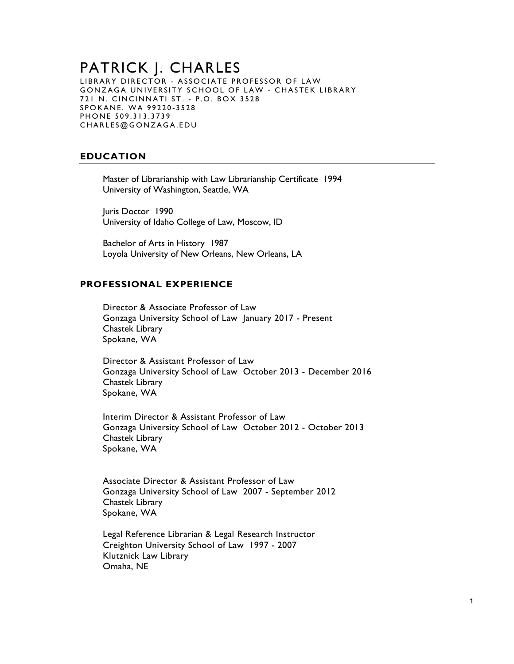### PATRICK J. CHARLES LIBRARY DIRECTOR - ASSOCIATE PROFESSOR OF LAW GONZAGA UNIVERSITY SCHOOL OF LAW - CHASTEK LIBRARY 721 N. CINCINNATI ST. - P.O. BOX 3528 SPOKANE, WA 99220-3528 PHONE 509.313.3739 CHARLES@GONZAGA.EDU

# **EDUCATION**

Master of Librarianship with Law Librarianship Certificate 1994 University of Washington, Seattle, WA

Juris Doctor 1990 University of Idaho College of Law, Moscow, ID

Bachelor of Arts in History 1987 Loyola University of New Orleans, New Orleans, LA

## **PROFESSIONAL EXPERIENCE**

Director & Associate Professor of Law Gonzaga University School of Law January 2017 - Present Chastek Library Spokane, WA

Director & Assistant Professor of Law Gonzaga University School of Law October 2013 - December 2016 Chastek Library Spokane, WA

Interim Director & Assistant Professor of Law Gonzaga University School of Law October 2012 - October 2013 Chastek Library Spokane, WA

Associate Director & Assistant Professor of Law Gonzaga University School of Law 2007 - September 2012 Chastek Library Spokane, WA

Legal Reference Librarian & Legal Research Instructor Creighton University School of Law 1997 - 2007 Klutznick Law Library Omaha, NE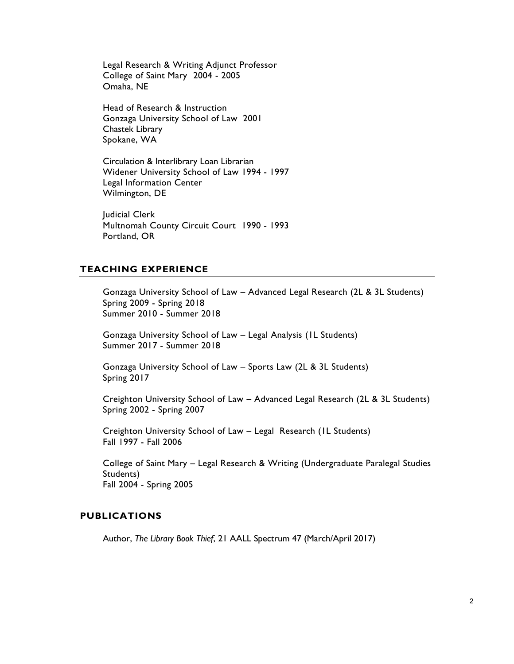Legal Research & Writing Adjunct Professor College of Saint Mary 2004 - 2005 Omaha, NE

Head of Research & Instruction Gonzaga University School of Law 2001 Chastek Library Spokane, WA

Circulation & Interlibrary Loan Librarian Widener University School of Law 1994 - 1997 Legal Information Center Wilmington, DE

Judicial Clerk Multnomah County Circuit Court 1990 - 1993 Portland, OR

# **TEACHING EXPERIENCE**

Gonzaga University School of Law – Advanced Legal Research (2L & 3L Students) Spring 2009 - Spring 2018 Summer 2010 - Summer 2018

Gonzaga University School of Law – Legal Analysis (1L Students) Summer 2017 - Summer 2018

Gonzaga University School of Law – Sports Law (2L & 3L Students) Spring 2017

Creighton University School of Law – Advanced Legal Research (2L & 3L Students) Spring 2002 - Spring 2007

Creighton University School of Law – Legal Research (1L Students) Fall 1997 - Fall 2006

College of Saint Mary – Legal Research & Writing (Undergraduate Paralegal Studies Students) Fall 2004 - Spring 2005

#### **PUBLICATIONS**

Author, *The Library Book Thief*, 21 AALL Spectrum 47 (March/April 2017)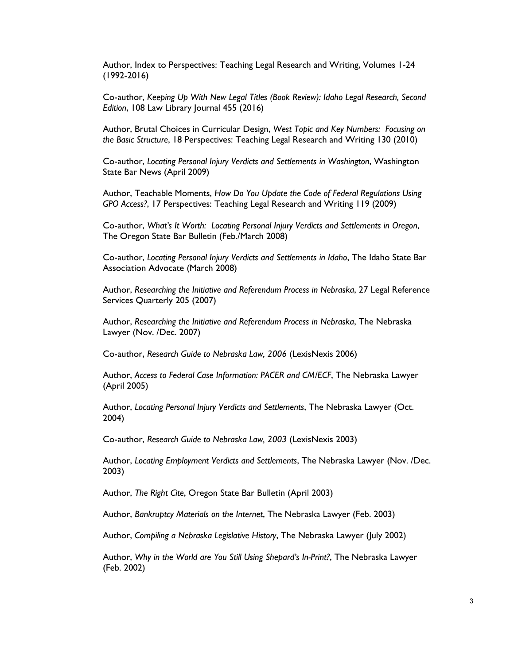Author, Index to Perspectives: Teaching Legal Research and Writing, Volumes 1-24 (1992-2016)

Co-author, *Keeping Up With New Legal Titles (Book Review): Idaho Legal Research, Second Edition*, 108 Law Library Journal 455 (2016)

Author, Brutal Choices in Curricular Design, *West Topic and Key Numbers: Focusing on the Basic Structure*, 18 Perspectives: Teaching Legal Research and Writing 130 (2010)

Co-author, *Locating Personal Injury Verdicts and Settlements in Washington*, Washington State Bar News (April 2009)

Author, Teachable Moments, *How Do You Update the Code of Federal Regulations Using GPO Access?*, 17 Perspectives: Teaching Legal Research and Writing 119 (2009)

Co-author, *What's It Worth: Locating Personal Injury Verdicts and Settlements in Oregon*, The Oregon State Bar Bulletin (Feb./March 2008)

Co-author, *Locating Personal Injury Verdicts and Settlements in Idaho*, The Idaho State Bar Association Advocate (March 2008)

Author, *Researching the Initiative and Referendum Process in Nebraska*, 27 Legal Reference Services Quarterly 205 (2007)

Author, *Researching the Initiative and Referendum Process in Nebraska*, The Nebraska Lawyer (Nov. /Dec. 2007)

Co-author, *Research Guide to Nebraska Law, 2006* (LexisNexis 2006)

Author, *Access to Federal Case Information: PACER and CM/ECF*, The Nebraska Lawyer (April 2005)

Author, *Locating Personal Injury Verdicts and Settlements*, The Nebraska Lawyer (Oct. 2004)

Co-author, *Research Guide to Nebraska Law, 2003* (LexisNexis 2003)

Author, *Locating Employment Verdicts and Settlements*, The Nebraska Lawyer (Nov. /Dec. 2003)

Author, *The Right Cite*, Oregon State Bar Bulletin (April 2003)

Author, *Bankruptcy Materials on the Internet*, The Nebraska Lawyer (Feb. 2003)

Author, *Compiling a Nebraska Legislative History*, The Nebraska Lawyer (July 2002)

Author, *Why in the World are You Still Using Shepard's In-Print?*, The Nebraska Lawyer (Feb. 2002)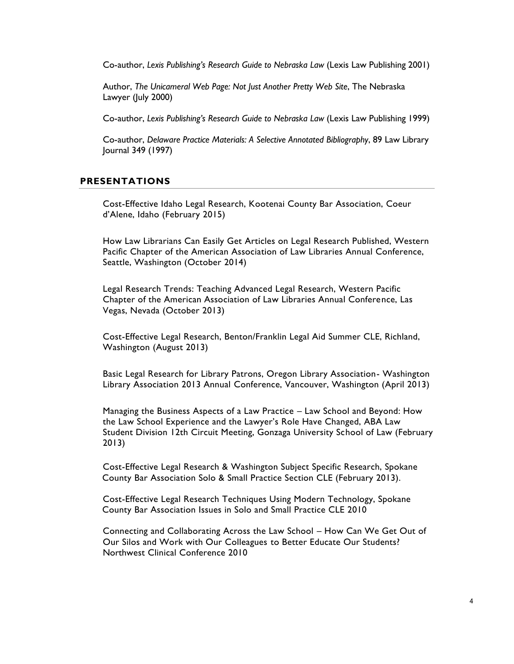Co-author, *Lexis Publishing's Research Guide to Nebraska Law* (Lexis Law Publishing 2001)

Author, *The Unicameral Web Page: Not Just Another Pretty Web Site*, The Nebraska Lawyer (July 2000)

Co-author, *Lexis Publishing's Research Guide to Nebraska Law* (Lexis Law Publishing 1999)

Co-author, *Delaware Practice Materials: A Selective Annotated Bibliography*, 89 Law Library Journal 349 (1997)

### **PRESENTATIONS**

Cost-Effective Idaho Legal Research, Kootenai County Bar Association, Coeur d'Alene, Idaho (February 2015)

How Law Librarians Can Easily Get Articles on Legal Research Published, Western Pacific Chapter of the American Association of Law Libraries Annual Conference, Seattle, Washington (October 2014)

Legal Research Trends: Teaching Advanced Legal Research, Western Pacific Chapter of the American Association of Law Libraries Annual Conference, Las Vegas, Nevada (October 2013)

Cost-Effective Legal Research, Benton/Franklin Legal Aid Summer CLE, Richland, Washington (August 2013)

Basic Legal Research for Library Patrons, Oregon Library Association- Washington Library Association 2013 Annual Conference, Vancouver, Washington (April 2013)

Managing the Business Aspects of a Law Practice – Law School and Beyond: How the Law School Experience and the Lawyer's Role Have Changed, ABA Law Student Division 12th Circuit Meeting, Gonzaga University School of Law (February 2013)

Cost-Effective Legal Research & Washington Subject Specific Research, Spokane County Bar Association Solo & Small Practice Section CLE (February 2013).

Cost-Effective Legal Research Techniques Using Modern Technology, Spokane County Bar Association Issues in Solo and Small Practice CLE 2010

Connecting and Collaborating Across the Law School – How Can We Get Out of Our Silos and Work with Our Colleagues to Better Educate Our Students? Northwest Clinical Conference 2010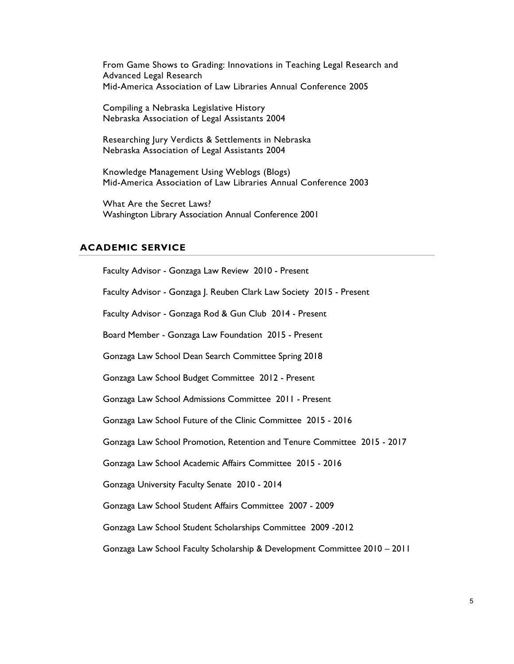From Game Shows to Grading: Innovations in Teaching Legal Research and Advanced Legal Research Mid-America Association of Law Libraries Annual Conference 2005

Compiling a Nebraska Legislative History Nebraska Association of Legal Assistants 2004

Researching Jury Verdicts & Settlements in Nebraska Nebraska Association of Legal Assistants 2004

Knowledge Management Using Weblogs (Blogs) Mid-America Association of Law Libraries Annual Conference 2003

What Are the Secret Laws? Washington Library Association Annual Conference 2001

#### **ACADEMIC SERVICE**

Faculty Advisor - Gonzaga Law Review 2010 - Present Faculty Advisor - Gonzaga J. Reuben Clark Law Society 2015 - Present Faculty Advisor - Gonzaga Rod & Gun Club 2014 - Present Board Member - Gonzaga Law Foundation 2015 - Present Gonzaga Law School Dean Search Committee Spring 2018 Gonzaga Law School Budget Committee 2012 - Present Gonzaga Law School Admissions Committee 2011 - Present Gonzaga Law School Future of the Clinic Committee 2015 - 2016 Gonzaga Law School Promotion, Retention and Tenure Committee 2015 - 2017 Gonzaga Law School Academic Affairs Committee 2015 - 2016 Gonzaga University Faculty Senate 2010 - 2014 Gonzaga Law School Student Affairs Committee 2007 - 2009 Gonzaga Law School Student Scholarships Committee 2009 -2012 Gonzaga Law School Faculty Scholarship & Development Committee 2010 – 2011